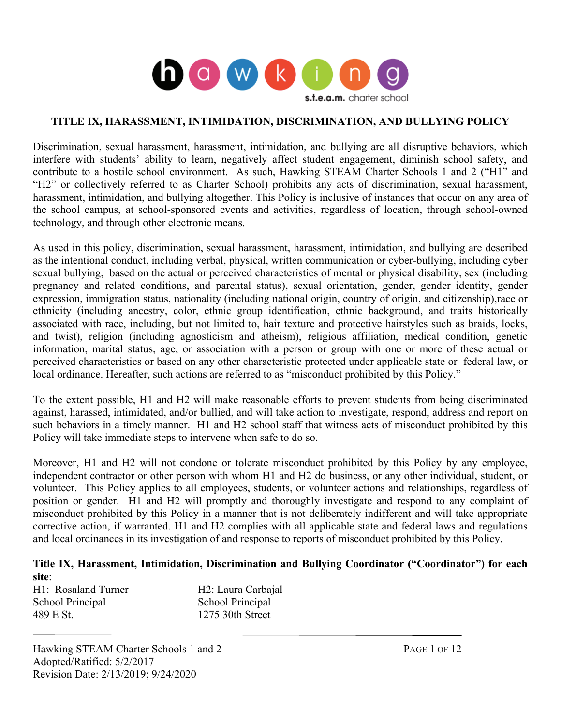

#### **TITLE IX, HARASSMENT, INTIMIDATION, DISCRIMINATION, AND BULLYING POLICY**

Discrimination, sexual harassment, harassment, intimidation, and bullying are all disruptive behaviors, which interfere with students' ability to learn, negatively affect student engagement, diminish school safety, and contribute to a hostile school environment. As such, Hawking STEAM Charter Schools 1 and 2 ("H1" and "H2" or collectively referred to as Charter School) prohibits any acts of discrimination, sexual harassment, harassment, intimidation, and bullying altogether. This Policy is inclusive of instances that occur on any area of the school campus, at school-sponsored events and activities, regardless of location, through school-owned technology, and through other electronic means.

As used in this policy, discrimination, sexual harassment, harassment, intimidation, and bullying are described as the intentional conduct, including verbal, physical, written communication or cyber-bullying, including cyber sexual bullying, based on the actual or perceived characteristics of mental or physical disability, sex (including pregnancy and related conditions, and parental status), sexual orientation, gender, gender identity, gender expression, immigration status, nationality (including national origin, country of origin, and citizenship),race or ethnicity (including ancestry, color, ethnic group identification, ethnic background, and traits historically associated with race, including, but not limited to, hair texture and protective hairstyles such as braids, locks, and twist), religion (including agnosticism and atheism), religious affiliation, medical condition, genetic information, marital status, age, or association with a person or group with one or more of these actual or perceived characteristics or based on any other characteristic protected under applicable state or federal law, or local ordinance. Hereafter, such actions are referred to as "misconduct prohibited by this Policy."

To the extent possible, H1 and H2 will make reasonable efforts to prevent students from being discriminated against, harassed, intimidated, and/or bullied, and will take action to investigate, respond, address and report on such behaviors in a timely manner. H1 and H2 school staff that witness acts of misconduct prohibited by this Policy will take immediate steps to intervene when safe to do so.

Moreover, H1 and H2 will not condone or tolerate misconduct prohibited by this Policy by any employee, independent contractor or other person with whom H1 and H2 do business, or any other individual, student, or volunteer. This Policy applies to all employees, students, or volunteer actions and relationships, regardless of position or gender. H1 and H2 will promptly and thoroughly investigate and respond to any complaint of misconduct prohibited by this Policy in a manner that is not deliberately indifferent and will take appropriate corrective action, if warranted. H1 and H2 complies with all applicable state and federal laws and regulations and local ordinances in its investigation of and response to reports of misconduct prohibited by this Policy.

#### **Title IX, Harassment, Intimidation, Discrimination and Bullying Coordinator ("Coordinator") for each site**:

| H <sub>2</sub> : Laura Carbajal |
|---------------------------------|
| School Principal                |
| 1275 30th Street                |
|                                 |

Hawking STEAM Charter Schools 1 and 2 PAGE 1 OF 12 Adopted/Ratified: 5/2/2017 Revision Date: 2/13/2019; 9/24/2020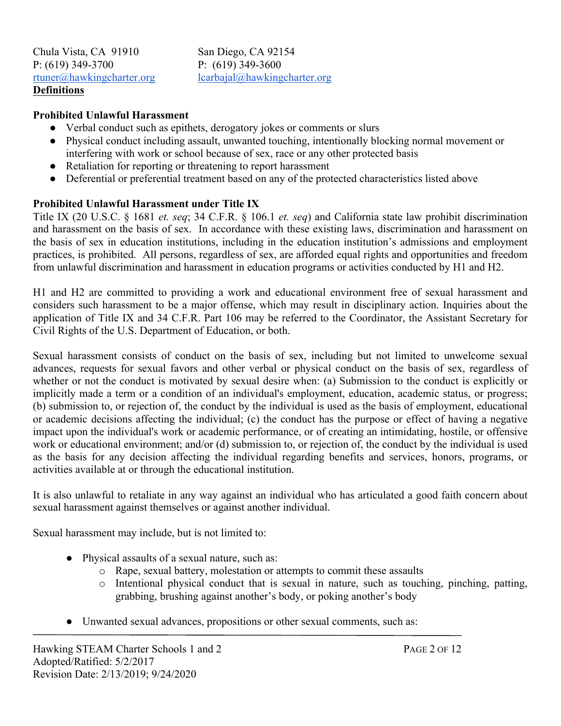Chula Vista, CA 91910 San Diego, CA 92154 P: (619) 349-3700 <br>
P: (619) 349-3600<br>
rtuner@hawkingcharter.org <u>lcarbajal@hawking</u> **Definitions**

 $lcarbajal@hawkingcharter.org$ 

#### **Prohibited Unlawful Harassment**

- Verbal conduct such as epithets, derogatory jokes or comments or slurs
- Physical conduct including assault, unwanted touching, intentionally blocking normal movement or interfering with work or school because of sex, race or any other protected basis
- Retaliation for reporting or threatening to report harassment
- Deferential or preferential treatment based on any of the protected characteristics listed above

#### **Prohibited Unlawful Harassment under Title IX**

Title IX (20 U.S.C. § 1681 *et. seq*; 34 C.F.R. § 106.1 *et. seq*) and California state law prohibit discrimination and harassment on the basis of sex. In accordance with these existing laws, discrimination and harassment on the basis of sex in education institutions, including in the education institution's admissions and employment practices, is prohibited. All persons, regardless of sex, are afforded equal rights and opportunities and freedom from unlawful discrimination and harassment in education programs or activities conducted by H1 and H2.

H1 and H2 are committed to providing a work and educational environment free of sexual harassment and considers such harassment to be a major offense, which may result in disciplinary action. Inquiries about the application of Title IX and 34 C.F.R. Part 106 may be referred to the Coordinator, the Assistant Secretary for Civil Rights of the U.S. Department of Education, or both.

Sexual harassment consists of conduct on the basis of sex, including but not limited to unwelcome sexual advances, requests for sexual favors and other verbal or physical conduct on the basis of sex, regardless of whether or not the conduct is motivated by sexual desire when: (a) Submission to the conduct is explicitly or implicitly made a term or a condition of an individual's employment, education, academic status, or progress; (b) submission to, or rejection of, the conduct by the individual is used as the basis of employment, educational or academic decisions affecting the individual; (c) the conduct has the purpose or effect of having a negative impact upon the individual's work or academic performance, or of creating an intimidating, hostile, or offensive work or educational environment; and/or (d) submission to, or rejection of, the conduct by the individual is used as the basis for any decision affecting the individual regarding benefits and services, honors, programs, or activities available at or through the educational institution.

It is also unlawful to retaliate in any way against an individual who has articulated a good faith concern about sexual harassment against themselves or against another individual.

Sexual harassment may include, but is not limited to:

- Physical assaults of a sexual nature, such as:
	- o Rape, sexual battery, molestation or attempts to commit these assaults
	- o Intentional physical conduct that is sexual in nature, such as touching, pinching, patting, grabbing, brushing against another's body, or poking another's body
- Unwanted sexual advances, propositions or other sexual comments, such as: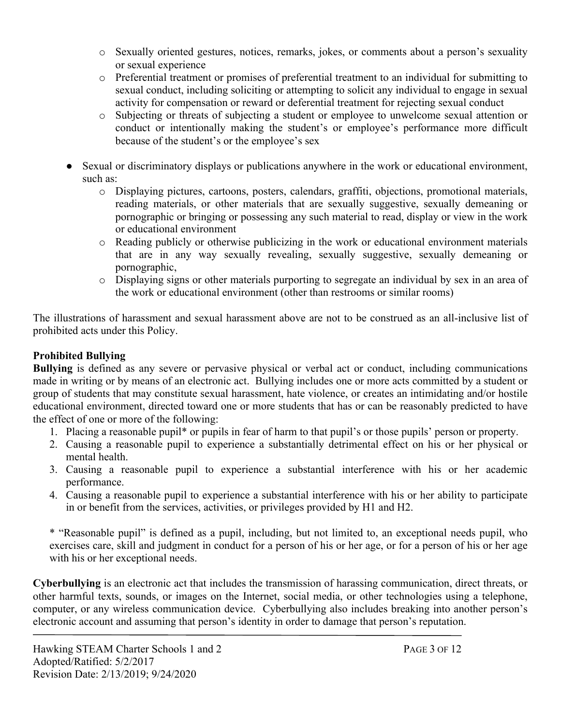- o Sexually oriented gestures, notices, remarks, jokes, or comments about a person's sexuality or sexual experience
- o Preferential treatment or promises of preferential treatment to an individual for submitting to sexual conduct, including soliciting or attempting to solicit any individual to engage in sexual activity for compensation or reward or deferential treatment for rejecting sexual conduct
- o Subjecting or threats of subjecting a student or employee to unwelcome sexual attention or conduct or intentionally making the student's or employee's performance more difficult because of the student's or the employee's sex
- Sexual or discriminatory displays or publications anywhere in the work or educational environment, such as:
	- o Displaying pictures, cartoons, posters, calendars, graffiti, objections, promotional materials, reading materials, or other materials that are sexually suggestive, sexually demeaning or pornographic or bringing or possessing any such material to read, display or view in the work or educational environment
	- o Reading publicly or otherwise publicizing in the work or educational environment materials that are in any way sexually revealing, sexually suggestive, sexually demeaning or pornographic,
	- o Displaying signs or other materials purporting to segregate an individual by sex in an area of the work or educational environment (other than restrooms or similar rooms)

The illustrations of harassment and sexual harassment above are not to be construed as an all-inclusive list of prohibited acts under this Policy.

# **Prohibited Bullying**

**Bullying** is defined as any severe or pervasive physical or verbal act or conduct, including communications made in writing or by means of an electronic act. Bullying includes one or more acts committed by a student or group of students that may constitute sexual harassment, hate violence, or creates an intimidating and/or hostile educational environment, directed toward one or more students that has or can be reasonably predicted to have the effect of one or more of the following:

- 1. Placing a reasonable pupil\* or pupils in fear of harm to that pupil's or those pupils' person or property.
- 2. Causing a reasonable pupil to experience a substantially detrimental effect on his or her physical or mental health.
- 3. Causing a reasonable pupil to experience a substantial interference with his or her academic performance.
- 4. Causing a reasonable pupil to experience a substantial interference with his or her ability to participate in or benefit from the services, activities, or privileges provided by H1 and H2.

\* "Reasonable pupil" is defined as a pupil, including, but not limited to, an exceptional needs pupil, who exercises care, skill and judgment in conduct for a person of his or her age, or for a person of his or her age with his or her exceptional needs.

**Cyberbullying** is an electronic act that includes the transmission of harassing communication, direct threats, or other harmful texts, sounds, or images on the Internet, social media, or other technologies using a telephone, computer, or any wireless communication device. Cyberbullying also includes breaking into another person's electronic account and assuming that person's identity in order to damage that person's reputation.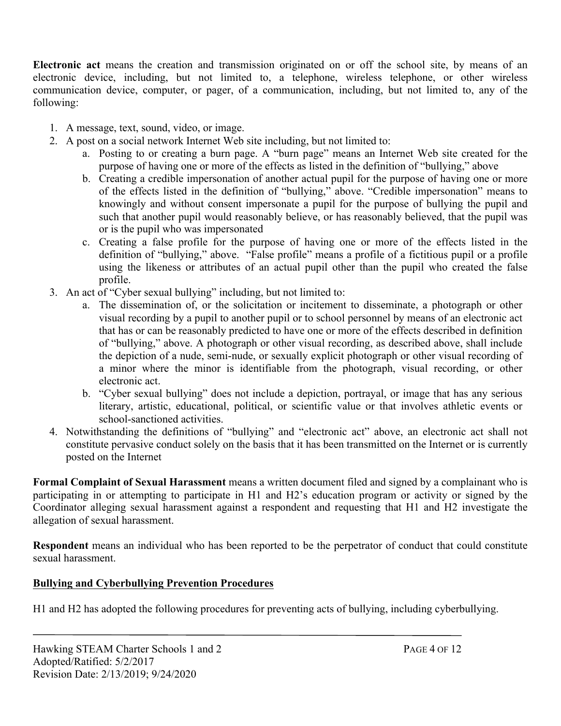**Electronic act** means the creation and transmission originated on or off the school site, by means of an electronic device, including, but not limited to, a telephone, wireless telephone, or other wireless communication device, computer, or pager, of a communication, including, but not limited to, any of the following:

- 1. A message, text, sound, video, or image.
- 2. A post on a social network Internet Web site including, but not limited to:
	- a. Posting to or creating a burn page. A "burn page" means an Internet Web site created for the purpose of having one or more of the effects as listed in the definition of "bullying," above
	- b. Creating a credible impersonation of another actual pupil for the purpose of having one or more of the effects listed in the definition of "bullying," above. "Credible impersonation" means to knowingly and without consent impersonate a pupil for the purpose of bullying the pupil and such that another pupil would reasonably believe, or has reasonably believed, that the pupil was or is the pupil who was impersonated
	- c. Creating a false profile for the purpose of having one or more of the effects listed in the definition of "bullying," above. "False profile" means a profile of a fictitious pupil or a profile using the likeness or attributes of an actual pupil other than the pupil who created the false profile.
- 3. An act of "Cyber sexual bullying" including, but not limited to:
	- a. The dissemination of, or the solicitation or incitement to disseminate, a photograph or other visual recording by a pupil to another pupil or to school personnel by means of an electronic act that has or can be reasonably predicted to have one or more of the effects described in definition of "bullying," above. A photograph or other visual recording, as described above, shall include the depiction of a nude, semi-nude, or sexually explicit photograph or other visual recording of a minor where the minor is identifiable from the photograph, visual recording, or other electronic act.
	- b. "Cyber sexual bullying" does not include a depiction, portrayal, or image that has any serious literary, artistic, educational, political, or scientific value or that involves athletic events or school-sanctioned activities.
- 4. Notwithstanding the definitions of "bullying" and "electronic act" above, an electronic act shall not constitute pervasive conduct solely on the basis that it has been transmitted on the Internet or is currently posted on the Internet

**Formal Complaint of Sexual Harassment** means a written document filed and signed by a complainant who is participating in or attempting to participate in H1 and H2's education program or activity or signed by the Coordinator alleging sexual harassment against a respondent and requesting that H1 and H2 investigate the allegation of sexual harassment.

**Respondent** means an individual who has been reported to be the perpetrator of conduct that could constitute sexual harassment.

# **Bullying and Cyberbullying Prevention Procedures**

H1 and H2 has adopted the following procedures for preventing acts of bullying, including cyberbullying.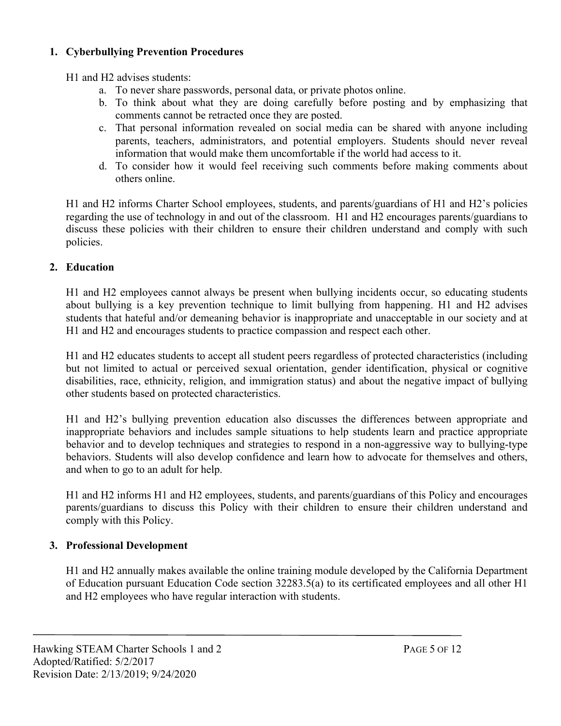## **1. Cyberbullying Prevention Procedures**

H1 and H2 advises students:

- a. To never share passwords, personal data, or private photos online.
- b. To think about what they are doing carefully before posting and by emphasizing that comments cannot be retracted once they are posted.
- c. That personal information revealed on social media can be shared with anyone including parents, teachers, administrators, and potential employers. Students should never reveal information that would make them uncomfortable if the world had access to it.
- d. To consider how it would feel receiving such comments before making comments about others online.

H1 and H2 informs Charter School employees, students, and parents/guardians of H1 and H2's policies regarding the use of technology in and out of the classroom. H1 and H2 encourages parents/guardians to discuss these policies with their children to ensure their children understand and comply with such policies.

# **2. Education**

H1 and H2 employees cannot always be present when bullying incidents occur, so educating students about bullying is a key prevention technique to limit bullying from happening. H1 and H2 advises students that hateful and/or demeaning behavior is inappropriate and unacceptable in our society and at H1 and H2 and encourages students to practice compassion and respect each other.

H1 and H2 educates students to accept all student peers regardless of protected characteristics (including but not limited to actual or perceived sexual orientation, gender identification, physical or cognitive disabilities, race, ethnicity, religion, and immigration status) and about the negative impact of bullying other students based on protected characteristics.

H1 and H2's bullying prevention education also discusses the differences between appropriate and inappropriate behaviors and includes sample situations to help students learn and practice appropriate behavior and to develop techniques and strategies to respond in a non-aggressive way to bullying-type behaviors. Students will also develop confidence and learn how to advocate for themselves and others, and when to go to an adult for help.

H1 and H2 informs H1 and H2 employees, students, and parents/guardians of this Policy and encourages parents/guardians to discuss this Policy with their children to ensure their children understand and comply with this Policy.

# **3. Professional Development**

H1 and H2 annually makes available the online training module developed by the California Department of Education pursuant Education Code section 32283.5(a) to its certificated employees and all other H1 and H2 employees who have regular interaction with students.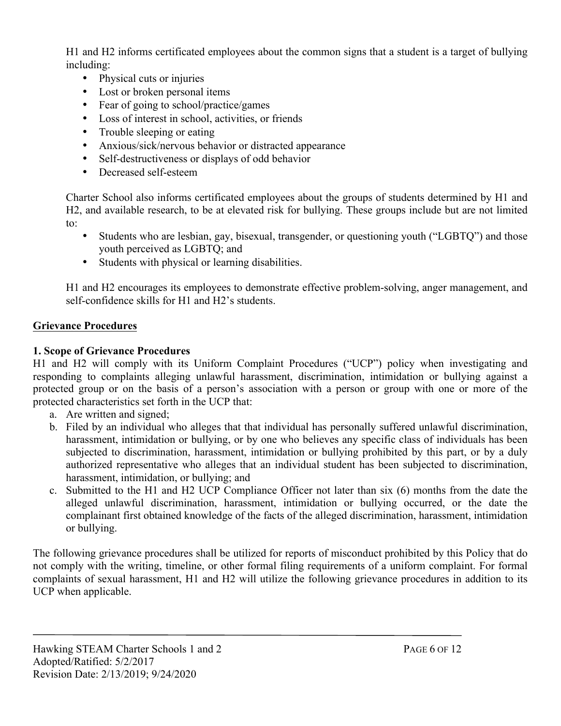H1 and H2 informs certificated employees about the common signs that a student is a target of bullying including:

- Physical cuts or injuries
- Lost or broken personal items
- Fear of going to school/practice/games
- Loss of interest in school, activities, or friends
- Trouble sleeping or eating
- Anxious/sick/nervous behavior or distracted appearance
- Self-destructiveness or displays of odd behavior
- Decreased self-esteem

Charter School also informs certificated employees about the groups of students determined by H1 and H2, and available research, to be at elevated risk for bullying. These groups include but are not limited to:

- Students who are lesbian, gay, bisexual, transgender, or questioning youth ("LGBTQ") and those youth perceived as LGBTQ; and
- Students with physical or learning disabilities.

H1 and H2 encourages its employees to demonstrate effective problem-solving, anger management, and self-confidence skills for H1 and H2's students.

### **Grievance Procedures**

### **1. Scope of Grievance Procedures**

H1 and H2 will comply with its Uniform Complaint Procedures ("UCP") policy when investigating and responding to complaints alleging unlawful harassment, discrimination, intimidation or bullying against a protected group or on the basis of a person's association with a person or group with one or more of the protected characteristics set forth in the UCP that:

- a. Are written and signed;
- b. Filed by an individual who alleges that that individual has personally suffered unlawful discrimination, harassment, intimidation or bullying, or by one who believes any specific class of individuals has been subjected to discrimination, harassment, intimidation or bullying prohibited by this part, or by a duly authorized representative who alleges that an individual student has been subjected to discrimination, harassment, intimidation, or bullying; and
- c. Submitted to the H1 and H2 UCP Compliance Officer not later than six (6) months from the date the alleged unlawful discrimination, harassment, intimidation or bullying occurred, or the date the complainant first obtained knowledge of the facts of the alleged discrimination, harassment, intimidation or bullying.

The following grievance procedures shall be utilized for reports of misconduct prohibited by this Policy that do not comply with the writing, timeline, or other formal filing requirements of a uniform complaint. For formal complaints of sexual harassment, H1 and H2 will utilize the following grievance procedures in addition to its UCP when applicable.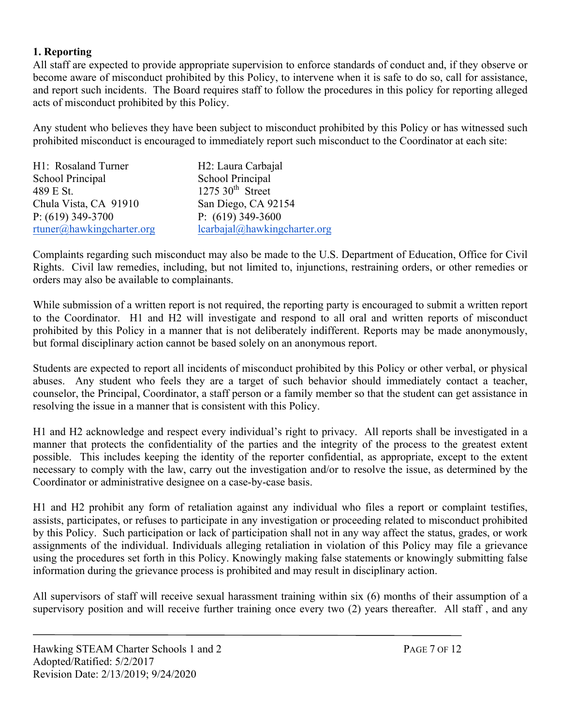### **1. Reporting**

All staff are expected to provide appropriate supervision to enforce standards of conduct and, if they observe or become aware of misconduct prohibited by this Policy, to intervene when it is safe to do so, call for assistance, and report such incidents. The Board requires staff to follow the procedures in this policy for reporting alleged acts of misconduct prohibited by this Policy.

Any student who believes they have been subject to misconduct prohibited by this Policy or has witnessed such prohibited misconduct is encouraged to immediately report such misconduct to the Coordinator at each site:

| H1: Rosaland Turner       | H <sub>2</sub> : Laura Carbajal |
|---------------------------|---------------------------------|
| School Principal          | School Principal                |
| 489 E St.                 | $1275$ 30 <sup>th</sup> Street  |
| Chula Vista, CA 91910     | San Diego, CA 92154             |
| P: $(619)$ 349-3700       | P: $(619)$ 349-3600             |
| rtuner@hawkingcharter.org | lcarbajal@hawkingcharter.org    |

Complaints regarding such misconduct may also be made to the U.S. Department of Education, Office for Civil Rights. Civil law remedies, including, but not limited to, injunctions, restraining orders, or other remedies or orders may also be available to complainants.

While submission of a written report is not required, the reporting party is encouraged to submit a written report to the Coordinator. H1 and H2 will investigate and respond to all oral and written reports of misconduct prohibited by this Policy in a manner that is not deliberately indifferent. Reports may be made anonymously, but formal disciplinary action cannot be based solely on an anonymous report.

Students are expected to report all incidents of misconduct prohibited by this Policy or other verbal, or physical abuses. Any student who feels they are a target of such behavior should immediately contact a teacher, counselor, the Principal, Coordinator, a staff person or a family member so that the student can get assistance in resolving the issue in a manner that is consistent with this Policy.

H1 and H2 acknowledge and respect every individual's right to privacy. All reports shall be investigated in a manner that protects the confidentiality of the parties and the integrity of the process to the greatest extent possible. This includes keeping the identity of the reporter confidential, as appropriate, except to the extent necessary to comply with the law, carry out the investigation and/or to resolve the issue, as determined by the Coordinator or administrative designee on a case-by-case basis.

H1 and H2 prohibit any form of retaliation against any individual who files a report or complaint testifies, assists, participates, or refuses to participate in any investigation or proceeding related to misconduct prohibited by this Policy. Such participation or lack of participation shall not in any way affect the status, grades, or work assignments of the individual. Individuals alleging retaliation in violation of this Policy may file a grievance using the procedures set forth in this Policy. Knowingly making false statements or knowingly submitting false information during the grievance process is prohibited and may result in disciplinary action.

All supervisors of staff will receive sexual harassment training within six (6) months of their assumption of a supervisory position and will receive further training once every two (2) years thereafter. All staff, and any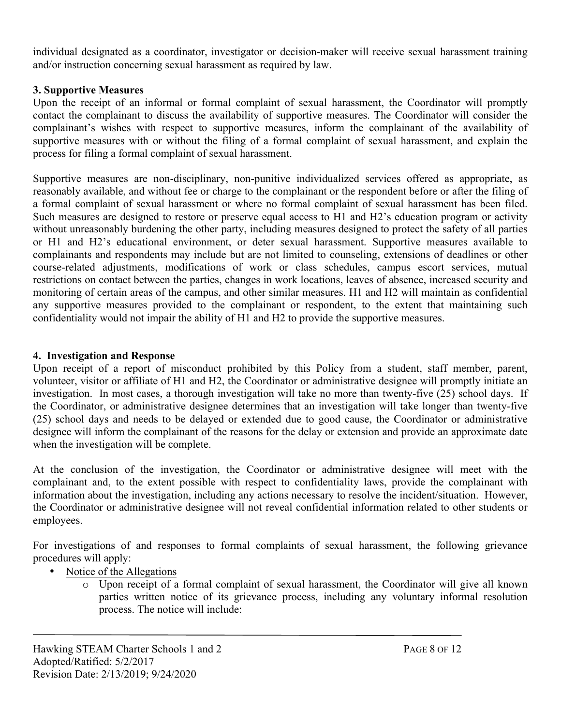individual designated as a coordinator, investigator or decision-maker will receive sexual harassment training and/or instruction concerning sexual harassment as required by law.

### **3. Supportive Measures**

Upon the receipt of an informal or formal complaint of sexual harassment, the Coordinator will promptly contact the complainant to discuss the availability of supportive measures. The Coordinator will consider the complainant's wishes with respect to supportive measures, inform the complainant of the availability of supportive measures with or without the filing of a formal complaint of sexual harassment, and explain the process for filing a formal complaint of sexual harassment.

Supportive measures are non-disciplinary, non-punitive individualized services offered as appropriate, as reasonably available, and without fee or charge to the complainant or the respondent before or after the filing of a formal complaint of sexual harassment or where no formal complaint of sexual harassment has been filed. Such measures are designed to restore or preserve equal access to H1 and H2's education program or activity without unreasonably burdening the other party, including measures designed to protect the safety of all parties or H1 and H2's educational environment, or deter sexual harassment. Supportive measures available to complainants and respondents may include but are not limited to counseling, extensions of deadlines or other course-related adjustments, modifications of work or class schedules, campus escort services, mutual restrictions on contact between the parties, changes in work locations, leaves of absence, increased security and monitoring of certain areas of the campus, and other similar measures. H1 and H2 will maintain as confidential any supportive measures provided to the complainant or respondent, to the extent that maintaining such confidentiality would not impair the ability of H1 and H2 to provide the supportive measures.

### **4. Investigation and Response**

Upon receipt of a report of misconduct prohibited by this Policy from a student, staff member, parent, volunteer, visitor or affiliate of H1 and H2, the Coordinator or administrative designee will promptly initiate an investigation. In most cases, a thorough investigation will take no more than twenty-five (25) school days. If the Coordinator, or administrative designee determines that an investigation will take longer than twenty-five (25) school days and needs to be delayed or extended due to good cause, the Coordinator or administrative designee will inform the complainant of the reasons for the delay or extension and provide an approximate date when the investigation will be complete.

At the conclusion of the investigation, the Coordinator or administrative designee will meet with the complainant and, to the extent possible with respect to confidentiality laws, provide the complainant with information about the investigation, including any actions necessary to resolve the incident/situation. However, the Coordinator or administrative designee will not reveal confidential information related to other students or employees.

For investigations of and responses to formal complaints of sexual harassment, the following grievance procedures will apply:

- Notice of the Allegations
	- o Upon receipt of a formal complaint of sexual harassment, the Coordinator will give all known parties written notice of its grievance process, including any voluntary informal resolution process. The notice will include: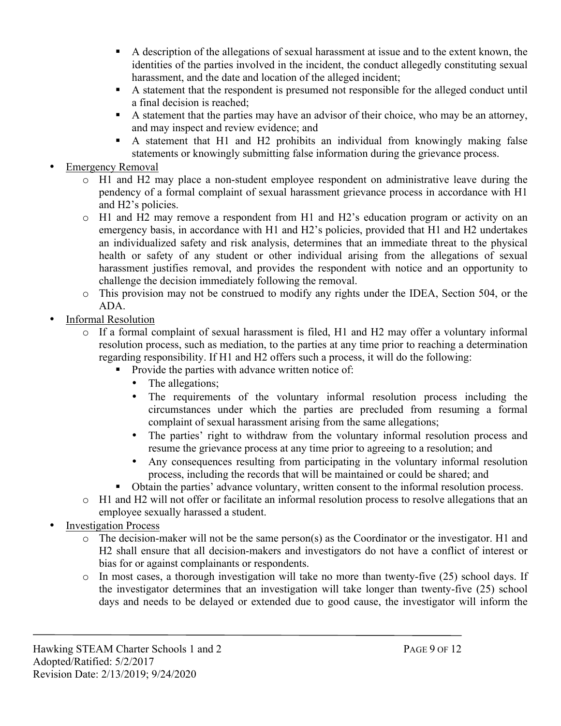- A description of the allegations of sexual harassment at issue and to the extent known, the identities of the parties involved in the incident, the conduct allegedly constituting sexual harassment, and the date and location of the alleged incident;
- § A statement that the respondent is presumed not responsible for the alleged conduct until a final decision is reached;
- A statement that the parties may have an advisor of their choice, who may be an attorney, and may inspect and review evidence; and
- § A statement that H1 and H2 prohibits an individual from knowingly making false statements or knowingly submitting false information during the grievance process.
- **Emergency Removal** 
	- o H1 and H2 may place a non-student employee respondent on administrative leave during the pendency of a formal complaint of sexual harassment grievance process in accordance with H1 and H2's policies.
	- o H1 and H2 may remove a respondent from H1 and H2's education program or activity on an emergency basis, in accordance with H1 and H2's policies, provided that H1 and H2 undertakes an individualized safety and risk analysis, determines that an immediate threat to the physical health or safety of any student or other individual arising from the allegations of sexual harassment justifies removal, and provides the respondent with notice and an opportunity to challenge the decision immediately following the removal.
	- o This provision may not be construed to modify any rights under the IDEA, Section 504, or the ADA.
- Informal Resolution
	- o If a formal complaint of sexual harassment is filed, H1 and H2 may offer a voluntary informal resolution process, such as mediation, to the parties at any time prior to reaching a determination regarding responsibility. If H1 and H2 offers such a process, it will do the following:
		- Provide the parties with advance written notice of:
			- The allegations;
			- The requirements of the voluntary informal resolution process including the circumstances under which the parties are precluded from resuming a formal complaint of sexual harassment arising from the same allegations;
			- The parties' right to withdraw from the voluntary informal resolution process and resume the grievance process at any time prior to agreeing to a resolution; and
			- Any consequences resulting from participating in the voluntary informal resolution process, including the records that will be maintained or could be shared; and
		- § Obtain the parties' advance voluntary, written consent to the informal resolution process.
	- o H1 and H2 will not offer or facilitate an informal resolution process to resolve allegations that an employee sexually harassed a student.
- **Investigation Process** 
	- o The decision-maker will not be the same person(s) as the Coordinator or the investigator. H1 and H2 shall ensure that all decision-makers and investigators do not have a conflict of interest or bias for or against complainants or respondents.
	- o In most cases, a thorough investigation will take no more than twenty-five (25) school days. If the investigator determines that an investigation will take longer than twenty-five (25) school days and needs to be delayed or extended due to good cause, the investigator will inform the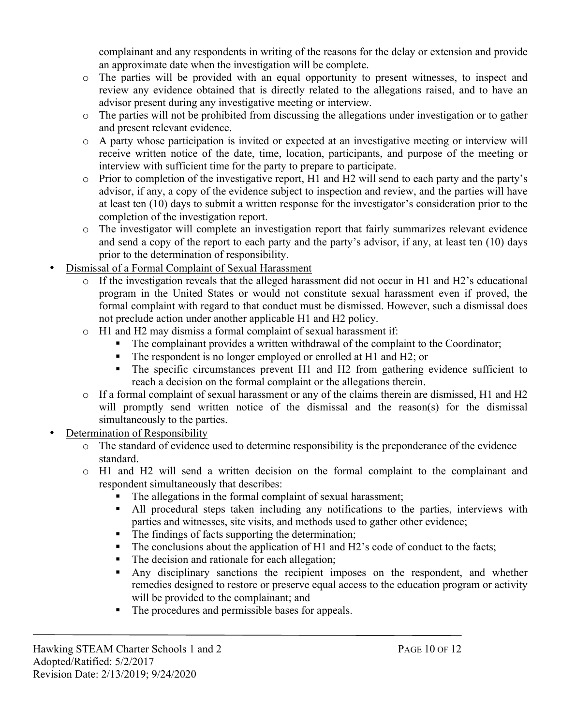complainant and any respondents in writing of the reasons for the delay or extension and provide an approximate date when the investigation will be complete.

- o The parties will be provided with an equal opportunity to present witnesses, to inspect and review any evidence obtained that is directly related to the allegations raised, and to have an advisor present during any investigative meeting or interview.
- o The parties will not be prohibited from discussing the allegations under investigation or to gather and present relevant evidence.
- o A party whose participation is invited or expected at an investigative meeting or interview will receive written notice of the date, time, location, participants, and purpose of the meeting or interview with sufficient time for the party to prepare to participate.
- o Prior to completion of the investigative report, H1 and H2 will send to each party and the party's advisor, if any, a copy of the evidence subject to inspection and review, and the parties will have at least ten (10) days to submit a written response for the investigator's consideration prior to the completion of the investigation report.
- o The investigator will complete an investigation report that fairly summarizes relevant evidence and send a copy of the report to each party and the party's advisor, if any, at least ten (10) days prior to the determination of responsibility.
- Dismissal of a Formal Complaint of Sexual Harassment
	- If the investigation reveals that the alleged harassment did not occur in H1 and H2's educational program in the United States or would not constitute sexual harassment even if proved, the formal complaint with regard to that conduct must be dismissed. However, such a dismissal does not preclude action under another applicable H1 and H2 policy.
	- o H1 and H2 may dismiss a formal complaint of sexual harassment if:
		- The complainant provides a written withdrawal of the complaint to the Coordinator;
		- The respondent is no longer employed or enrolled at H1 and H2; or
		- The specific circumstances prevent H1 and H2 from gathering evidence sufficient to reach a decision on the formal complaint or the allegations therein.
	- $\circ$  If a formal complaint of sexual harassment or any of the claims therein are dismissed. H1 and H2 will promptly send written notice of the dismissal and the reason(s) for the dismissal simultaneously to the parties.
- Determination of Responsibility
	- o The standard of evidence used to determine responsibility is the preponderance of the evidence standard.
	- o H1 and H2 will send a written decision on the formal complaint to the complainant and respondent simultaneously that describes:
		- The allegations in the formal complaint of sexual harassment;
		- All procedural steps taken including any notifications to the parties, interviews with parties and witnesses, site visits, and methods used to gather other evidence;
		- The findings of facts supporting the determination;
		- The conclusions about the application of H1 and H2's code of conduct to the facts;
		- The decision and rationale for each allegation;
		- § Any disciplinary sanctions the recipient imposes on the respondent, and whether remedies designed to restore or preserve equal access to the education program or activity will be provided to the complainant; and
		- The procedures and permissible bases for appeals.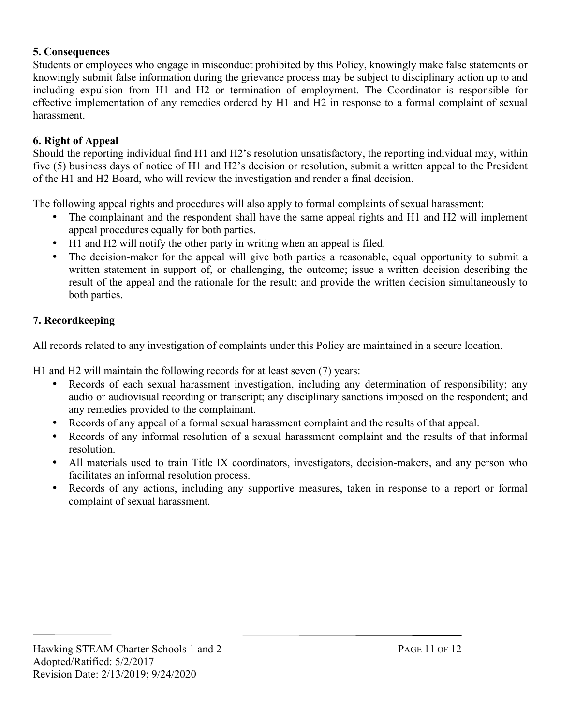### **5. Consequences**

Students or employees who engage in misconduct prohibited by this Policy, knowingly make false statements or knowingly submit false information during the grievance process may be subject to disciplinary action up to and including expulsion from H1 and H2 or termination of employment. The Coordinator is responsible for effective implementation of any remedies ordered by H1 and H2 in response to a formal complaint of sexual harassment.

# **6. Right of Appeal**

Should the reporting individual find H1 and H2's resolution unsatisfactory, the reporting individual may, within five (5) business days of notice of H1 and H2's decision or resolution, submit a written appeal to the President of the H1 and H2 Board, who will review the investigation and render a final decision.

The following appeal rights and procedures will also apply to formal complaints of sexual harassment:

- The complainant and the respondent shall have the same appeal rights and H1 and H2 will implement appeal procedures equally for both parties.
- H1 and H2 will notify the other party in writing when an appeal is filed.
- The decision-maker for the appeal will give both parties a reasonable, equal opportunity to submit a written statement in support of, or challenging, the outcome; issue a written decision describing the result of the appeal and the rationale for the result; and provide the written decision simultaneously to both parties.

# **7. Recordkeeping**

All records related to any investigation of complaints under this Policy are maintained in a secure location.

H1 and H2 will maintain the following records for at least seven (7) years:

- Records of each sexual harassment investigation, including any determination of responsibility; any audio or audiovisual recording or transcript; any disciplinary sanctions imposed on the respondent; and any remedies provided to the complainant.
- Records of any appeal of a formal sexual harassment complaint and the results of that appeal.
- Records of any informal resolution of a sexual harassment complaint and the results of that informal resolution.
- All materials used to train Title IX coordinators, investigators, decision-makers, and any person who facilitates an informal resolution process.
- Records of any actions, including any supportive measures, taken in response to a report or formal complaint of sexual harassment.